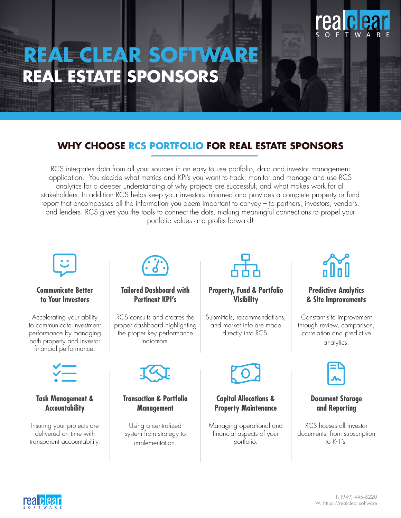# **REAL CLEAR SOFTWARE REAL ESTATE SPONSORS**

### **WHY CHOOSE RCS PORTFOLIO FOR REAL ESTATE SPONSORS**

RCS integrates data from all your sources in an easy to use portfolio, data and investor management application. You decide what metrics and KPI's you want to track, monitor and manage and use RCS analytics for a deeper understanding of why projects are successful, and what makes work for all stakeholders. In addition RCS helps keep your investors informed and provides a complete property or fund report that encompasses all the information you deem important to convey – to partners, investors, vendors, and lenders. RCS gives you the tools to connect the dots, making meaningful connections to propel your portfolio values and profits forward!



### **Communicate Better to Your Investors**

Accelerating your ability to communicate investment performance by managing both property and investor financial performance.



### **Task Management & Accountability**

Insuring your projects are delivered on time with transparent accountability.



**Tailored Dashboard with Pertinent KPI's**

RCS consults and creates the proper dashboard highlighting the proper key performance indicators.



### **Transaction & Portfolio Management**

Using a centralized system from strategy to implementation.



### **Property, Fund & Portfolio Visibility**

Submittals, recommendations, and market info are made directly into RCS.



### **Capital Allocations & Property Maintenance**

Managing operational and financial aspects of your portfolio.



### **Predictive Analytics & Site Improvements**

Constant site improvement through review, comparison, correlation and predictive analytics.



### **Document Storage and Reporting**

RCS houses all investor documents, from subscription to K-1's.

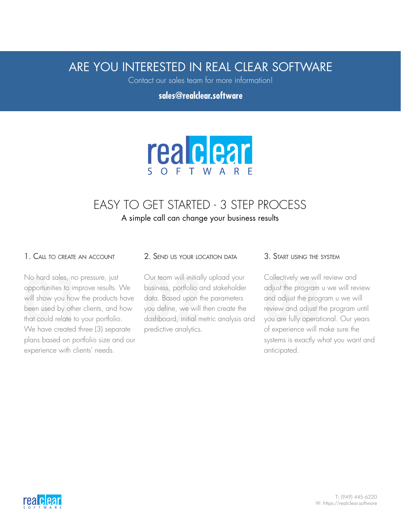# ARE YOU INTERESTED IN REAL CLEAR SOFTWARE

Contact our sales team for more information!

**sales@realclear.software**



## EASY TO GET STARTED - 3 STEP PROCESS A simple call can change your business results

### 1. Call to create an account

No hard sales, no pressure, just opportunities to improve results. We will show you how the products have been used by other clients, and how that could relate to your portfolio. We have created three (3) separate plans based on portfolio size and our experience with clients' needs. No hard sales, no pressure, just the Uur team will initially upload your Collectively we will opportunities to improve results. We business, portfolio and stakeholder will show you how the products have data. Based upon th

#### 2. Send us your location data

Our team will initially upload your business, portfolio and stakeholder data. Based upon the parameters you define, we will then create the dashboard, initial metric analysis and predictive analytics.

#### 3. Start using the system

Collectively we will review and adjust the program u we will review and adjust the program u we will review and adjust the program until you are fully operational. Our years of experience will make sure the systems is exactly what you want and anticipated.